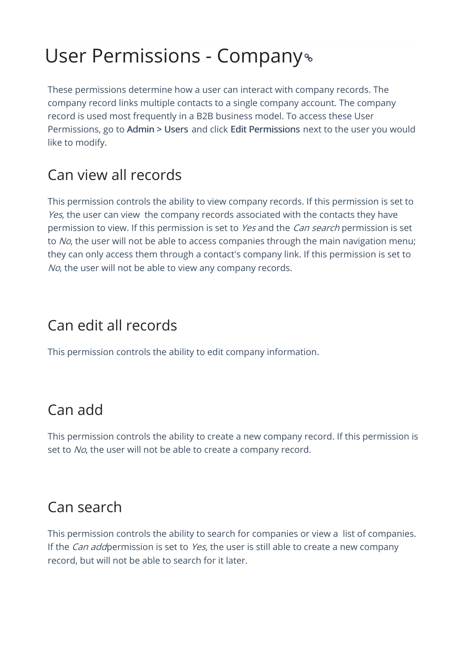# User Permissions - Company

These permissions determine how a user can interact with company records. The company record links multiple contacts to a single company account. The company record is used most frequently in a B2B business model. To access these User Permissions, go to Admin > Users and click Edit Permissions next to the user you would like to modify.

## Can view all records

This permission controls the ability to view company records. If this permission is set to Yes, the user can view the company records associated with the contacts they have permission to view. If this permission is set to Yes and the Can search permission is set to No, the user will not be able to access companies through the main navigation menu; they can only access them through a contact's company link. If this permission is set to No, the user will not be able to view any company records.

### Can edit all records

This permission controls the ability to edit company information.

#### Can add

This permission controls the ability to create a new company record. If this permission is set to No, the user will not be able to create a company record.

#### Can search

This permission controls the ability to search for companies or view a list of companies. If the *Can add* permission is set to *Yes*, the user is still able to create a new company record, but will not be able to search for it later.